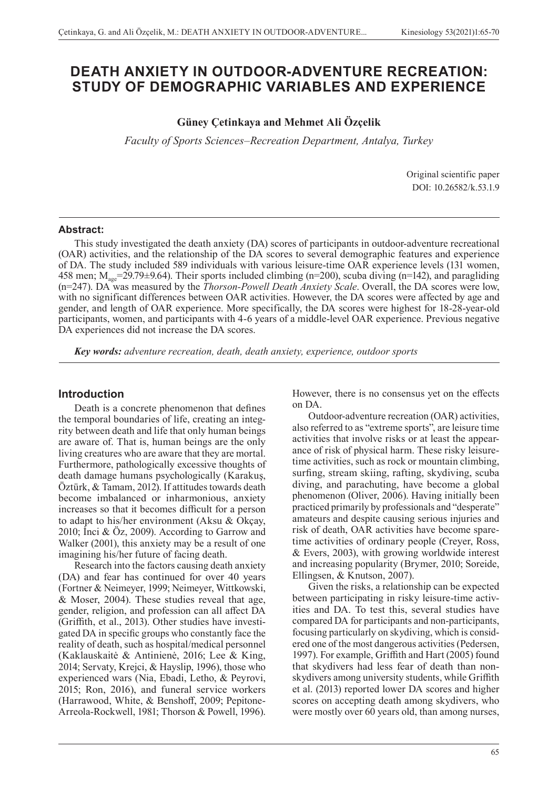# **DEATH ANXIETY IN OUTDOOR-ADVENTURE RECREATION: STUDY OF DEMOGRAPHIC VARIABLES AND EXPERIENCE**

# **Güney Çetinkaya and Mehmet Ali Özçelik**

*Faculty of Sports Sciences‒Recreation Department, Antalya, Turkey*

Original scientific paper DOI: 10.26582/k.53.1.9

#### **Abstract:**

This study investigated the death anxiety (DA) scores of participants in outdoor-adventure recreational (OAR) activities, and the relationship of the DA scores to several demographic features and experience of DA. The study included 589 individuals with various leisure-time OAR experience levels (131 women, 458 men;  $M_{\text{age}}$ =29.79±9.64). Their sports included climbing (n=200), scuba diving (n=142), and paragliding (n=247). DA was measured by the *Thorson-Powell Death Anxiety Scale*. Overall, the DA scores were low, with no significant differences between OAR activities. However, the DA scores were affected by age and gender, and length of OAR experience. More specifically, the DA scores were highest for 18-28-year-old participants, women, and participants with 4-6 years of a middle-level OAR experience. Previous negative DA experiences did not increase the DA scores.

*Key words: adventure recreation, death, death anxiety, experience, outdoor sports*

# **Introduction**

Death is a concrete phenomenon that defines the temporal boundaries of life, creating an integrity between death and life that only human beings are aware of. That is, human beings are the only living creatures who are aware that they are mortal. Furthermore, pathologically excessive thoughts of death damage humans psychologically (Karakuş, Öztürk, & Tamam, 2012). If attitudes towards death become imbalanced or inharmonious, anxiety increases so that it becomes difficult for a person to adapt to his/her environment (Aksu & Okçay, 2010; İnci & Öz, 2009). According to Garrow and Walker (2001), this anxiety may be a result of one imagining his/her future of facing death.

Research into the factors causing death anxiety (DA) and fear has continued for over 40 years (Fortner & Neimeyer, 1999; Neimeyer, Wittkowski, & Moser, 2004). These studies reveal that age, gender, religion, and profession can all affect DA (Griffith, et al., 2013). Other studies have investigated DA in specific groups who constantly face the reality of death, such as hospital/medical personnel (Kaklauskaitė & Antinienė, 2016; Lee & King, 2014; Servaty, Krejci, & Hayslip, 1996), those who experienced wars (Nia, Ebadi, Letho, & Peyrovi, 2015; Ron, 2016), and funeral service workers (Harrawood, White, & Benshoff, 2009; Pepitone-Arreola-Rockwell, 1981; Thorson & Powell, 1996).

However, there is no consensus yet on the effects on DA.

Outdoor-adventure recreation (OAR) activities, also referred to as "extreme sports", are leisure time activities that involve risks or at least the appearance of risk of physical harm. These risky leisuretime activities, such as rock or mountain climbing, surfing, stream skiing, rafting, skydiving, scuba diving, and parachuting, have become a global phenomenon (Oliver, 2006). Having initially been practiced primarily by professionals and "desperate" amateurs and despite causing serious injuries and risk of death, OAR activities have become sparetime activities of ordinary people (Creyer, Ross, & Evers, 2003), with growing worldwide interest and increasing popularity (Brymer, 2010; Soreide, Ellingsen, & Knutson, 2007).

Given the risks, a relationship can be expected between participating in risky leisure-time activities and DA. To test this, several studies have compared DA for participants and non-participants, focusing particularly on skydiving, which is considered one of the most dangerous activities (Pedersen, 1997). For example, Griffith and Hart (2005) found that skydivers had less fear of death than nonskydivers among university students, while Griffith et al. (2013) reported lower DA scores and higher scores on accepting death among skydivers, who were mostly over 60 years old, than among nurses,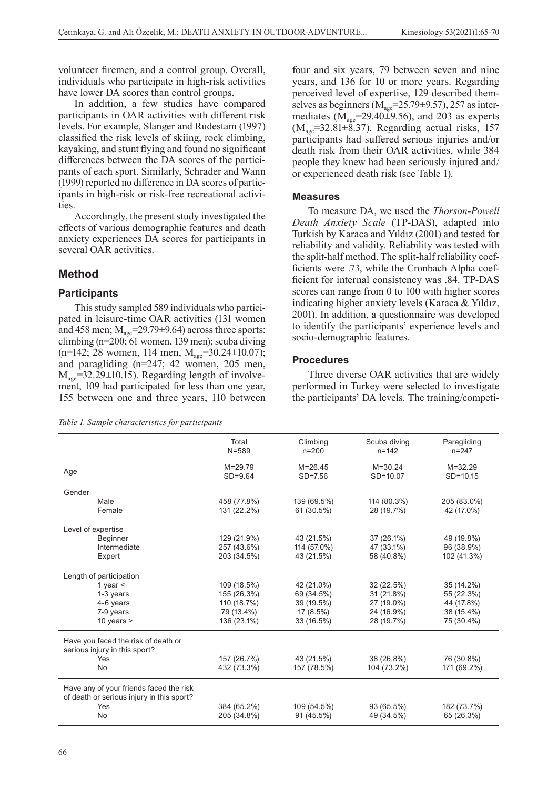volunteer firemen, and a control group. Overall, individuals who participate in high-risk activities have lower DA scores than control groups.

In addition, a few studies have compared participants in OAR activities with different risk levels. For example, Slanger and Rudestam (1997) classified the risk levels of skiing, rock climbing, kayaking, and stunt flying and found no significant differences between the DA scores of the participants of each sport. Similarly, Schrader and Wann (1999) reported no difference in DA scores of participants in high-risk or risk-free recreational activities.

Accordingly, the present study investigated the effects of various demographic features and death anxiety experiences DA scores for participants in several OAR activities.

# **Method**

#### **Participants**

This study sampled 589 individuals who participated in leisure-time OAR activities (131 women and 458 men;  $M_{\text{age}}$ =29.79±9.64) across three sports: climbing (n=200; 61 women, 139 men); scuba diving  $(n=142; 28$  women, 114 men,  $M_{\text{age}}=30.24\pm10.07$ ); and paragliding (n=247; 42 women, 205 men,  $M_{\text{age}}$ =32.29 $\pm$ 10.15). Regarding length of involvement, 109 had participated for less than one year, 155 between one and three years, 110 between

*Table 1. Sample characteristics for participants*

four and six years, 79 between seven and nine years, and 136 for 10 or more years. Regarding perceived level of expertise, 129 described themselves as beginners ( $\dot{M}_{\text{age}}$ =25.79±9.57), 257 as intermediates ( $M_{\text{age}}$ =29.40 $\pm$ 9.56), and 203 as experts  $(M<sub>age</sub>=32.81±8.37)$ . Regarding actual risks, 157 participants had suffered serious injuries and/or death risk from their OAR activities, while 384 people they knew had been seriously injured and/ or experienced death risk (see Table 1).

#### **Measures**

To measure DA, we used the *Thorson-Powell Death Anxiety Scale* (TP-DAS), adapted into Turkish by Karaca and Yıldız (2001) and tested for reliability and validity. Reliability was tested with the split-half method. The split-half reliability coefficients were .73, while the Cronbach Alpha coefficient for internal consistency was .84. TP-DAS scores can range from 0 to 100 with higher scores indicating higher anxiety levels (Karaca & Yıldız, 2001). In addition, a questionnaire was developed to identify the participants' experience levels and socio-demographic features.

#### **Procedures**

Three diverse OAR activities that are widely performed in Turkey were selected to investigate the participants' DA levels. The training/competi-

|                                                                                      | Total<br>$N = 589$         | Climbing<br>$n = 200$      | Scuba diving<br>$n = 142$   | Paragliding<br>$n = 247$    |
|--------------------------------------------------------------------------------------|----------------------------|----------------------------|-----------------------------|-----------------------------|
| Age                                                                                  | $M = 29.79$<br>$SD=9.64$   | $M = 26.45$<br>$SD = 7.56$ | $M = 30.24$<br>$SD = 10.07$ | $M = 32.29$<br>$SD = 10.15$ |
| Gender                                                                               |                            |                            |                             |                             |
| Male<br>Female                                                                       | 458 (77.8%)<br>131 (22.2%) | 139 (69.5%)<br>61 (30.5%)  | 114 (80.3%)<br>28 (19.7%)   | 205 (83.0%)<br>42 (17.0%)   |
| Level of expertise                                                                   |                            |                            |                             |                             |
| <b>Beginner</b>                                                                      | 129 (21.9%)                | 43 (21.5%)                 | 37 (26.1%)                  | 49 (19.8%)                  |
| Intermediate                                                                         | 257 (43.6%)                | 114 (57.0%)                | 47 (33.1%)                  | 96 (38.9%)                  |
| Expert                                                                               | 203 (34.5%)                | 43 (21.5%)                 | 58 (40.8%)                  | 102 (41.3%)                 |
| Length of participation                                                              |                            |                            |                             |                             |
| 1 year $\leq$                                                                        | 109 (18.5%)                | 42 (21.0%)                 | 32 (22.5%)                  | 35 (14.2%)                  |
| 1-3 years                                                                            | 155 (26.3%)                | 69 (34.5%)                 | 31 (21.8%)                  | 55 (22.3%)                  |
| 4-6 years                                                                            | 110 (18.7%)                | 39 (19.5%)                 | 27 (19.0%)                  | 44 (17.8%)                  |
| 7-9 years                                                                            | 79 (13.4%)                 | 17 (8.5%)                  | 24 (16.9%)                  | 38 (15.4%)                  |
| 10 years $>$                                                                         | 136 (23.1%)                | 33 (16.5%)                 | 28 (19.7%)                  | 75 (30.4%)                  |
| Have you faced the risk of death or<br>serious injury in this sport?                 |                            |                            |                             |                             |
| Yes                                                                                  | 157 (26.7%)                | 43 (21.5%)                 | 38 (26.8%)                  | 76 (30.8%)                  |
| No                                                                                   | 432 (73.3%)                | 157 (78.5%)                | 104 (73.2%)                 | 171 (69.2%)                 |
| Have any of your friends faced the risk<br>of death or serious injury in this sport? |                            |                            |                             |                             |
| Yes                                                                                  | 384 (65.2%)                | 109 (54.5%)                | 93 (65.5%)                  | 182 (73.7%)                 |
| No                                                                                   | 205 (34.8%)                | 91 (45.5%)                 | 49 (34.5%)                  | 65 (26.3%)                  |
|                                                                                      |                            |                            |                             |                             |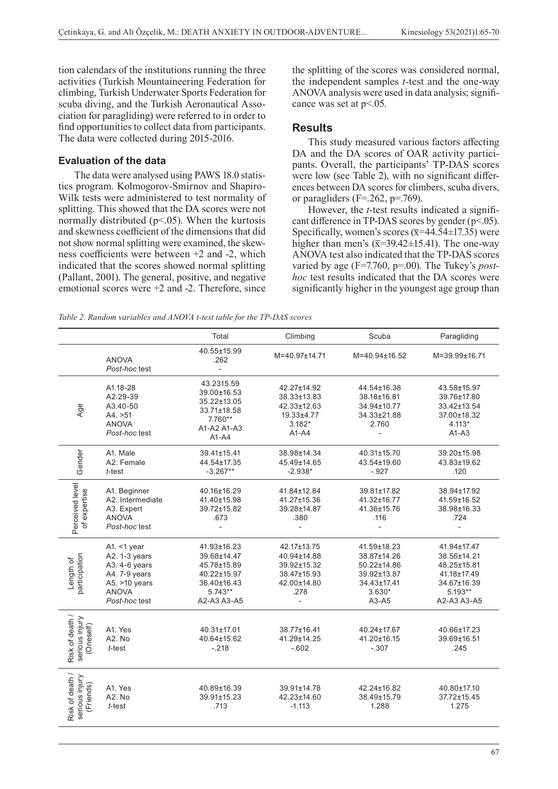tion calendars of the institutions running the three activities (Turkish Mountaineering Federation for climbing, Turkish Underwater Sports Federation for scuba diving, and the Turkish Aeronautical Association for paragliding) were referred to in order to find opportunities to collect data from participants. The data were collected during 2015-2016.

# **Evaluation of the data**

The data were analysed using PAWS 18.0 statistics program. Kolmogorov-Smirnov and Shapiro-Wilk tests were administered to test normality of splitting. This showed that the DA scores were not normally distributed  $(p<.05)$ . When the kurtosis and skewness coefficient of the dimensions that did not show normal splitting were examined, the skewness coefficients were between +2 and -2, which indicated that the scores showed normal splitting (Pallant, 2001). The general, positive, and negative emotional scores were +2 and -2. Therefore, since the splitting of the scores was considered normal, the independent samples *t-*test and the one-way ANOVA analysis were used in data analysis; significance was set at  $p<0.05$ .

### **Results**

This study measured various factors affecting DA and the DA scores of OAR activity participants. Overall, the participants' TP-DAS scores were low (see Table 2), with no significant differences between DA scores for climbers, scuba divers, or paragliders (F=.262, p=.769).

However, the *t*-test results indicated a significant difference in TP-DAS scores by gender (p<.05). Specifically, women's scores  $(\overline{x}=44.54 \pm 17.35)$  were higher than men's  $(\overline{x}=39.42\pm15.41)$ . The one-way ANOVA test also indicated that the TP-DAS scores varied by age (F=7.760, p=.00). The Tukey's *posthoc* test results indicated that the DA scores were significantly higher in the youngest age group than

*Table 2. Random variables and ANOVA t-test table for the TP-DAS scores*

|                                                |                                                                                                                       | Total                                                                                               | Climbing                                                                        | Scuba                                                                                            | Paragliding                                                                                       |
|------------------------------------------------|-----------------------------------------------------------------------------------------------------------------------|-----------------------------------------------------------------------------------------------------|---------------------------------------------------------------------------------|--------------------------------------------------------------------------------------------------|---------------------------------------------------------------------------------------------------|
|                                                | <b>ANOVA</b><br>Post-hoc test                                                                                         | 40.55±15.99<br>.262<br>$\overline{\phantom{a}}$                                                     | M=40.97±14.71                                                                   | M=40.94±16.52                                                                                    | M=39.99±16.71                                                                                     |
| Age                                            | A1.18-28<br>A2.29-39<br>A3.40-50<br>A4. > 51<br><b>ANOVA</b><br>Post-hoc test                                         | 43.2315.59<br>39.00±16.53<br>35.22±13.05<br>33.71±18.58<br>$7.760**$<br>A1-A2 A1-A3<br>$A1 - A4$    | 42.27±14.92<br>38.33±13.83<br>42.33±12.63<br>19.33±4.77<br>$3.182*$<br>$A1-A4$  | 44.54±16.38<br>38.18±16.81<br>34.94±10.77<br>34.33±21.88<br>2.760                                | 43.58±15.97<br>39.76±17.80<br>33.42±13.54<br>37.00±18.32<br>$4.113*$<br>$A1-A3$                   |
| Gender                                         | A1. Male<br>A2. Female<br>t-test                                                                                      | 39.41±15.41<br>44.54±17.35<br>$-3.267**$                                                            | 38.98±14.34<br>45.49±14.65<br>$-2.938*$                                         | 40.31±15.70<br>43.54±19.60<br>$-.927$                                                            | 39.20±15.98<br>43.83±19.62<br>.120                                                                |
| Perceived level<br>of expertise                | A1. Beginner<br>A2. Intermediate<br>A3. Expert<br><b>ANOVA</b><br>Post-hoc test                                       | 40.16±16.29<br>41.40±15.98<br>39.72±15.82<br>.673                                                   | 41.84±12.84<br>41.27±15.36<br>39.28±14.87<br>.380                               | 39.81±17.82<br>41.32±16.77<br>41.36±15.76<br>.116                                                | 38.94±17.92<br>41.59±16.52<br>38.98±16.33<br>.724                                                 |
| participation<br>Length of                     | A1. $<$ 1 year<br>A2. 1-3 years<br>A3. 4-6 years<br>A4. 7-9 years<br>A5. $>10$ years<br><b>ANOVA</b><br>Post-hoc test | 41.93±16.23<br>39.68±14.47<br>45.78±15.89<br>40.22±15.97<br>36.40±16.43<br>$5.743**$<br>A2-A3 A3-A5 | 42.17±13.75<br>40.94±14.88<br>39.92±15.32<br>38.47±15.93<br>42.00±14.80<br>.278 | 41.59±18.23<br>38.87±14.26<br>50.22±14.86<br>39.92±13.87<br>34.43±17.41<br>$3.630*$<br>$A3 - A5$ | 41.94±17.47<br>38.56±14.21<br>48.25±15.81<br>41.18±17.49<br>34.67±16.39<br>5.193**<br>A2-A3 A3-A5 |
| Risk of death /<br>serious injury<br>(Oneself) | A1. Yes<br>A2. No<br>t-test                                                                                           | 40.31±17.01<br>40.64±15.62<br>$-.218$                                                               | 38.77±16.41<br>41.29±14.25<br>$-602$                                            | 40.24±17.67<br>41.20±16.15<br>$-.307$                                                            | 40.66±17.23<br>39.69±16.51<br>.245                                                                |
| Risk of death /<br>serious injury<br>(Friends) | A1. Yes<br>A2. No<br>t-test                                                                                           | 40.89±16.39<br>39.91±15.23<br>.713                                                                  | 39.91±14.78<br>42.23±14.60<br>$-1.113$                                          | 42.24±16.82<br>38.49±15.79<br>1.288                                                              | 40.80±17.10<br>37.72±15.45<br>1.275                                                               |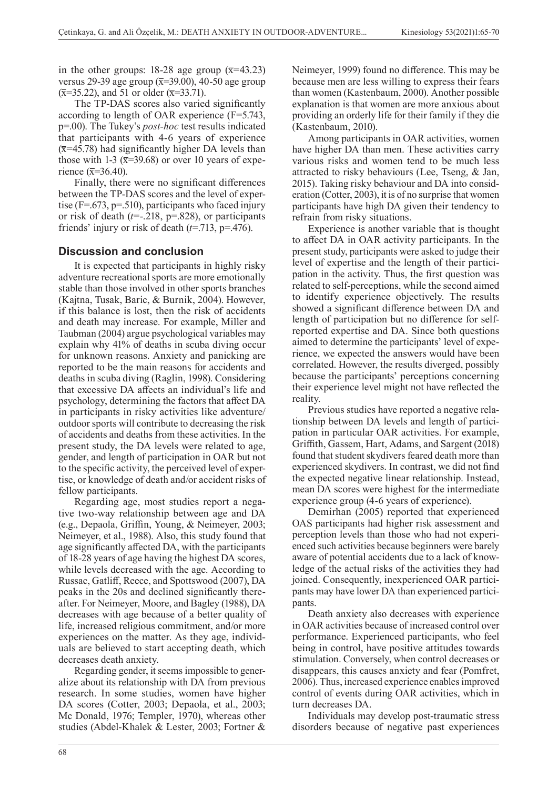in the other groups: 18-28 age group  $(\bar{x}=43.23)$ versus 29-39 age group  $(\overline{x}=39.00)$ , 40-50 age group  $(\bar{x}=35.22)$ , and 51 or older  $(\bar{x}=33.71)$ .

The TP-DAS scores also varied significantly according to length of OAR experience (F=5.743, p=.00). The Tukey's *post-hoc* test results indicated that participants with 4-6 years of experience  $(\overline{x}$ =45.78) had significantly higher DA levels than those with 1-3 ( $\bar{x}$ =39.68) or over 10 years of experience ( $\bar{x}$ =36.40).

Finally, there were no significant differences between the TP-DAS scores and the level of expertise ( $F = 673$ ,  $p = 510$ ), participants who faced injury or risk of death (*t*=-.218, p=.828), or participants friends' injury or risk of death (*t*=.713, p=.476).

## **Discussion and conclusion**

It is expected that participants in highly risky adventure recreational sports are more emotionally stable than those involved in other sports branches (Kajtna, Tusak, Baric, & Burnik, 2004). However, if this balance is lost, then the risk of accidents and death may increase. For example, Miller and Taubman (2004) argue psychological variables may explain why 41% of deaths in scuba diving occur for unknown reasons. Anxiety and panicking are reported to be the main reasons for accidents and deaths in scuba diving (Raglin, 1998). Considering that excessive DA affects an individual's life and psychology, determining the factors that affect DA in participants in risky activities like adventure/ outdoor sports will contribute to decreasing the risk of accidents and deaths from these activities. In the present study, the DA levels were related to age, gender, and length of participation in OAR but not to the specific activity, the perceived level of expertise, or knowledge of death and/or accident risks of fellow participants.

Regarding age, most studies report a negative two-way relationship between age and DA (e.g., Depaola, Griffin, Young, & Neimeyer, 2003; Neimeyer, et al., 1988). Also, this study found that age significantly affected DA, with the participants of 18-28 years of age having the highest DA scores, while levels decreased with the age. According to Russac, Gatliff, Reece, and Spottswood (2007), DA peaks in the 20s and declined significantly thereafter. For Neimeyer, Moore, and Bagley (1988), DA decreases with age because of a better quality of life, increased religious commitment, and/or more experiences on the matter. As they age, individuals are believed to start accepting death, which decreases death anxiety.

Regarding gender, it seems impossible to generalize about its relationship with DA from previous research. In some studies, women have higher DA scores (Cotter, 2003; Depaola, et al., 2003; Mc Donald, 1976; Templer, 1970), whereas other studies (Abdel-Khalek & Lester, 2003; Fortner &

Neimeyer, 1999) found no difference. This may be because men are less willing to express their fears than women (Kastenbaum, 2000). Another possible explanation is that women are more anxious about providing an orderly life for their family if they die (Kastenbaum, 2010).

Among participants in OAR activities, women have higher DA than men. These activities carry various risks and women tend to be much less attracted to risky behaviours (Lee, Tseng, & Jan, 2015). Taking risky behaviour and DA into consideration (Cotter, 2003), it is of no surprise that women participants have high DA given their tendency to refrain from risky situations.

Experience is another variable that is thought to affect DA in OAR activity participants. In the present study, participants were asked to judge their level of expertise and the length of their participation in the activity. Thus, the first question was related to self-perceptions, while the second aimed to identify experience objectively. The results showed a significant difference between DA and length of participation but no difference for selfreported expertise and DA. Since both questions aimed to determine the participants' level of experience, we expected the answers would have been correlated. However, the results diverged, possibly because the participants' perceptions concerning their experience level might not have reflected the reality.

Previous studies have reported a negative relationship between DA levels and length of participation in particular OAR activities. For example, Griffith, Gassem, Hart, Adams, and Sargent (2018) found that student skydivers feared death more than experienced skydivers. In contrast, we did not find the expected negative linear relationship. Instead, mean DA scores were highest for the intermediate experience group (4-6 years of experience).

Demirhan (2005) reported that experienced OAS participants had higher risk assessment and perception levels than those who had not experienced such activities because beginners were barely aware of potential accidents due to a lack of knowledge of the actual risks of the activities they had joined. Consequently, inexperienced OAR participants may have lower DA than experienced participants.

Death anxiety also decreases with experience in OAR activities because of increased control over performance. Experienced participants, who feel being in control, have positive attitudes towards stimulation. Conversely, when control decreases or disappears, this causes anxiety and fear (Pomfret, 2006). Thus, increased experience enables improved control of events during OAR activities, which in turn decreases DA.

Individuals may develop post-traumatic stress disorders because of negative past experiences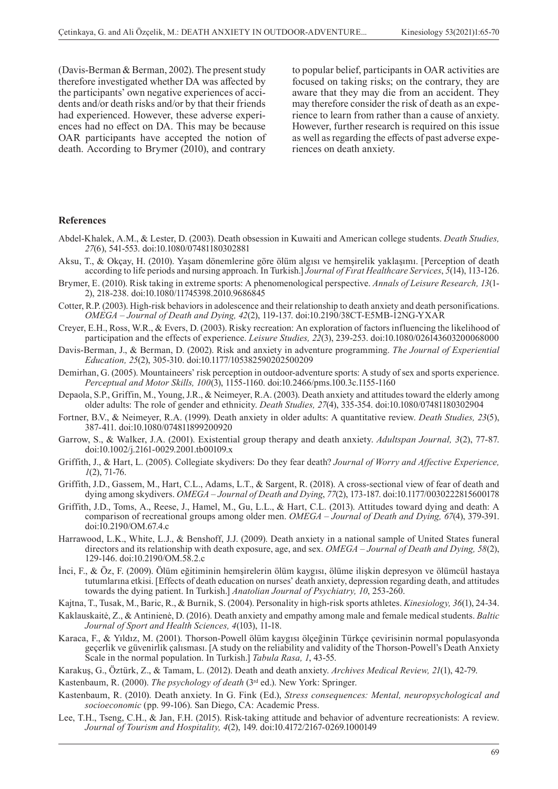(Davis-Berman & Berman, 2002). The present study therefore investigated whether DA was affected by the participants' own negative experiences of accidents and/or death risks and/or by that their friends had experienced. However, these adverse experiences had no effect on DA. This may be because OAR participants have accepted the notion of death. According to Brymer (2010), and contrary to popular belief, participants in OAR activities are focused on taking risks; on the contrary, they are aware that they may die from an accident. They may therefore consider the risk of death as an experience to learn from rather than a cause of anxiety. However, further research is required on this issue as well as regarding the effects of past adverse experiences on death anxiety.

#### **References**

Abdel-Khalek, A.M., & Lester, D. (2003). Death obsession in Kuwaiti and American college students. *Death Studies, 27*(6), 541-553. doi:10.1080/07481180302881

- Aksu, T., & Okçay, H. (2010). Yaşam dönemlerine göre ölüm algısı ve hemşirelik yaklaşımı. [Perception of death according to life periods and nursing approach. In Turkish.] *Journal of Fırat Healthcare Services*, *5*(14), 113-126.
- Brymer, E. (2010). Risk taking in extreme sports: A phenomenological perspective. *Annals of Leisure Research, 13*(1- 2), 218-238. doi:10.1080/11745398.2010.9686845
- Cotter, R.P. (2003). High-risk behaviors in adolescence and their relationship to death anxiety and death personifications. *OMEGA – Journal of Death and Dying, 42*(2), 119-137. doi:10.2190/38CT-E5MB-12NG-YXAR
- Creyer, E.H., Ross, W.R., & Evers, D. (2003). Risky recreation: An exploration of factors influencing the likelihood of participation and the effects of experience. *Leisure Studies, 22*(3), 239-253. doi:10.1080/026143603200068000
- Davis-Berman, J., & Berman, D. (2002). Risk and anxiety in adventure programming. *The Journal of Experiential Education, 25*(2), 305-310. doi:10.1177/105382590202500209
- Demirhan, G. (2005). Mountaineers' risk perception in outdoor-adventure sports: A study of sex and sports experience. *Perceptual and Motor Skills, 100*(3), 1155-1160. doi:10.2466/pms.100.3c.1155-1160
- Depaola, S.P., Griffin, M., Young, J.R., & Neimeyer, R.A. (2003). Death anxiety and attitudes toward the elderly among older adults: The role of gender and ethnicity. *Death Studies, 27*(4), 335-354. doi:10.1080/07481180302904
- Fortner, B.V., & Neimeyer, R.A. (1999). Death anxiety in older adults: A quantitative review. *Death Studies, 23*(5), 387-411. doi:10.1080/074811899200920
- Garrow, S., & Walker, J.A. (2001). Existential group therapy and death anxiety. *Adultspan Journal, 3*(2), 77-87. doi:10.1002/j.2161-0029.2001.tb00109.x
- Griffith, J., & Hart, L. (2005). Collegiate skydivers: Do they fear death? *Journal of Worry and Affective Experience, 1*(2), 71-76.
- Griffith, J.D., Gassem, M., Hart, C.L., Adams, L.T., & Sargent, R. (2018). A cross-sectional view of fear of death and dying among skydivers. *OMEGA – Journal of Death and Dying*, *77*(2), 173-187. doi:10.1177/0030222815600178
- Griffith, J.D., Toms, A., Reese, J., Hamel, M., Gu, L.L., & Hart, C.L. (2013). Attitudes toward dying and death: A comparison of recreational groups among older men. *OMEGA – Journal of Death and Dying, 67*(4), 379-391. doi:10.2190/OM.67.4.c
- Harrawood, L.K., White, L.J., & Benshoff, J.J. (2009). Death anxiety in a national sample of United States funeral directors and its relationship with death exposure, age, and sex. *OMEGA – Journal of Death and Dying, 58*(2), 129-146. doi:10.2190/OM.58.2.c
- İnci, F., & Öz, F. (2009). Ölüm eğitiminin hemşirelerin ölüm kaygısı, ölüme ilişkin depresyon ve ölümcül hastaya tutumlarına etkisi. [Effects of death education on nurses' death anxiety, depression regarding death, and attitudes towards the dying patient. In Turkish.] *Anatolian Journal of Psychiatry, 10*, 253-260.
- Kajtna, T., Tusak, M., Baric, R., & Burnik, S. (2004). Personality in high-risk sports athletes. *Kinesiology, 36*(1), 24-34.
- Kaklauskaitė, Z., & Antinienė, D. (2016). Death anxiety and empathy among male and female medical students. *Baltic Journal of Sport and Health Sciences, 4*(103), 11-18.
- Karaca, F., & Yıldız, M. (2001). Thorson-Powell ölüm kaygısı ölçeğinin Türkçe çevirisinin normal populasyonda geçerlik ve güvenirlik çalısması. [A study on the reliability and validity of the Thorson-Powell's Death Anxiety Scale in the normal population. In Turkish.] *Tabula Rasa, 1*, 43-55.
- Karakuş, G., Öztürk, Z., & Tamam, L. (2012). Death and death anxiety. *Archives Medical Review, 21*(1), 42-79.

Kastenbaum, R. (2000). *The psychology of death* (3rd ed.). New York: Springer.

- Kastenbaum, R. (2010). Death anxiety. In G. Fink (Ed.), *Stress consequences: Mental, neuropsychological and socioeconomic* (pp. 99-106). San Diego, CA: Academic Press.
- Lee, T.H., Tseng, C.H., & Jan, F.H. (2015). Risk-taking attitude and behavior of adventure recreationists: A review. *Journal of Tourism and Hospitality, 4*(2), 149. doi:10.4172/2167-0269.1000149